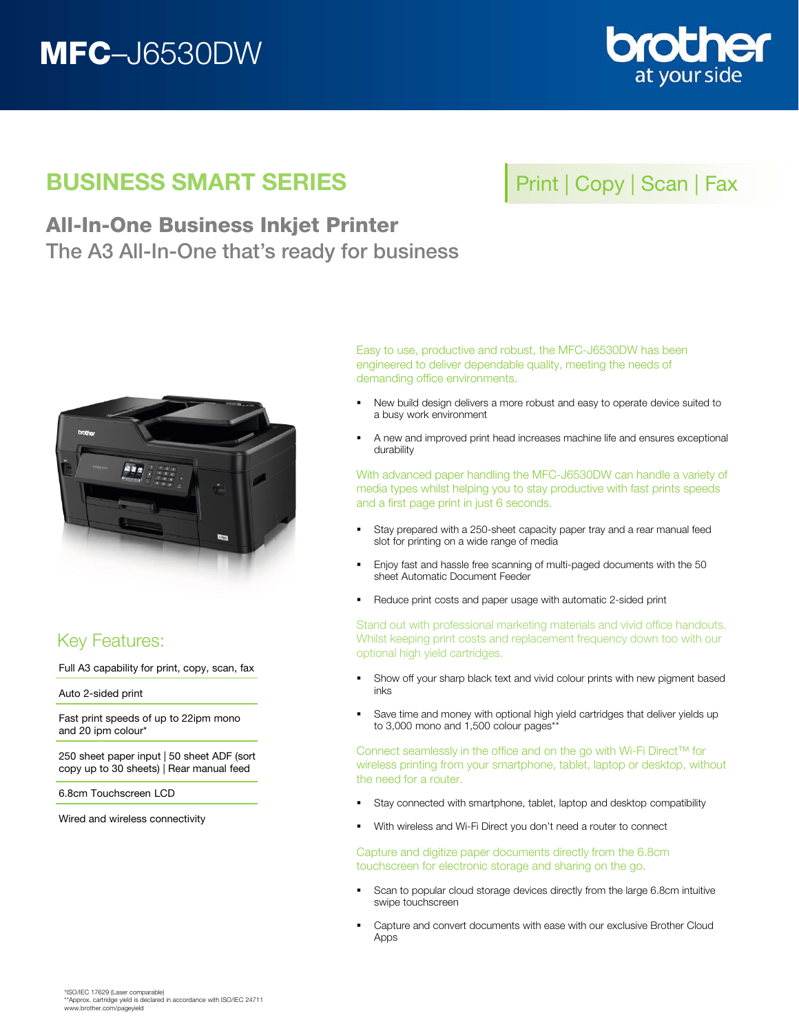# MFC–J6530DW



## BUSINESS SMART SERIES

# Print | Copy | Scan | Fax

### All-In-One Business Inkjet Printer The A3 All-In-One that's ready for business



### Key Features:

Full A3 capability for print, copy, scan, fax

Auto 2-sided print

Fast print speeds of up to 22ipm mono and 20 ipm colour\*

250 sheet paper input | 50 sheet ADF (sort copy up to 30 sheets) | Rear manual feed

6.8cm Touchscreen LCD

Wired and wireless connectivity

Easy to use, productive and robust, the MFC-J6530DW has been engineered to deliver dependable quality, meeting the needs of demanding office environments.

- New build design delivers a more robust and easy to operate device suited to a busy work environment
- A new and improved print head increases machine life and ensures exceptional durability

With advanced paper handling the MFC-J6530DW can handle a variety of media types whilst helping you to stay productive with fast prints speeds and a first page print in just 6 seconds.

- Stay prepared with a 250-sheet capacity paper tray and a rear manual feed slot for printing on a wide range of media
- **Enjoy fast and hassle free scanning of multi-paged documents with the 50** sheet Automatic Document Feeder
- Reduce print costs and paper usage with automatic 2-sided print

Stand out with professional marketing materials and vivid office handouts. Whilst keeping print costs and replacement frequency down too with our optional high yield cartridges.

- Show off your sharp black text and vivid colour prints with new pigment based inks
- **Save time and money with optional high yield cartridges that deliver yields up** to 3,000 mono and 1,500 colour pages\*\*

Connect seamlessly in the office and on the go with Wi-Fi Direct™ for wireless printing from your smartphone, tablet, laptop or desktop, without the need for a router.

- Stay connected with smartphone, tablet, laptop and desktop compatibility
- With wireless and Wi-Fi Direct you don't need a router to connect

Capture and digitize paper documents directly from the 6.8cm touchscreen for electronic storage and sharing on the go.

- **Scan to popular cloud storage devices directly from the large 6.8cm intuitive** swipe touchscreen
- Capture and convert documents with ease with our exclusive Brother Cloud Apps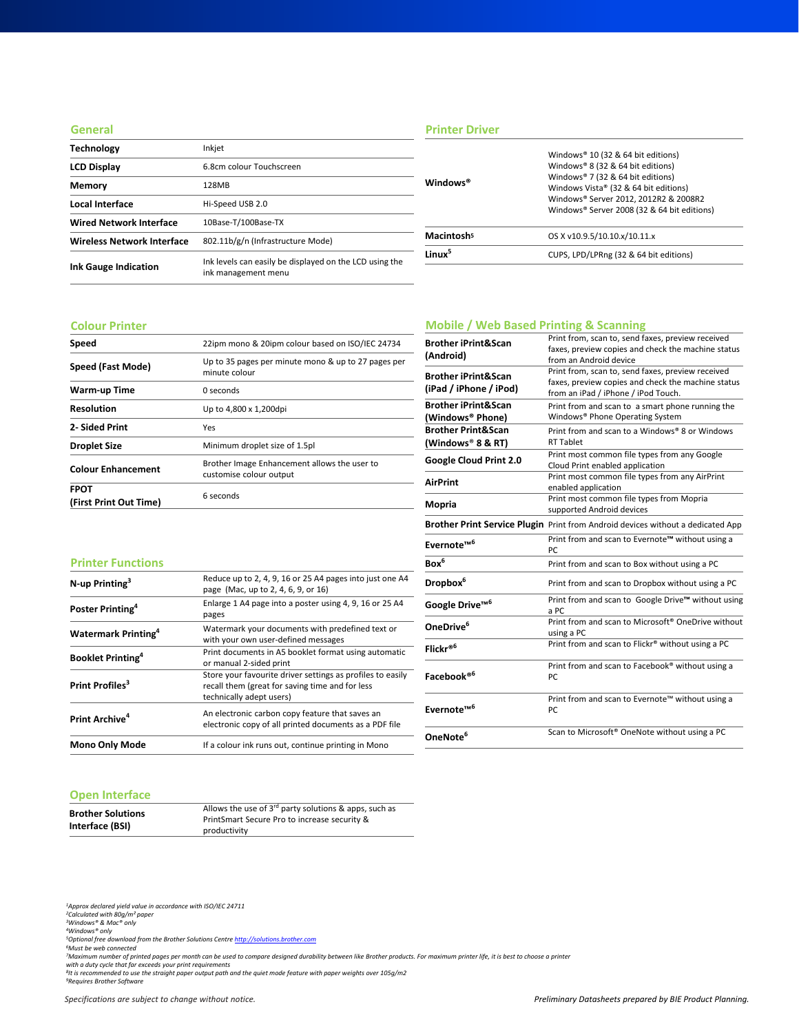#### **General**

| <b>Technology</b>                 | Inkjet                                                                         |
|-----------------------------------|--------------------------------------------------------------------------------|
| <b>LCD Display</b>                | 6.8cm colour Touchscreen                                                       |
| Memory                            | 128MB                                                                          |
| Local Interface                   | Hi-Speed USB 2.0                                                               |
| <b>Wired Network Interface</b>    | 10Base-T/100Base-TX                                                            |
| <b>Wireless Network Interface</b> | 802.11b/g/n (Infrastructure Mode)                                              |
| <b>Ink Gauge Indication</b>       | Ink levels can easily be displayed on the LCD using the<br>ink management menu |

### **Printer Driver**

| Windows <sup>®</sup>   | Windows® 10 (32 & 64 bit editions)<br>Windows® 8 (32 & 64 bit editions)<br>Windows® 7 (32 & 64 bit editions)<br>Windows Vista® (32 & 64 bit editions)<br>Windows® Server 2012, 2012R2 & 2008R2<br>Windows® Server 2008 (32 & 64 bit editions) |
|------------------------|-----------------------------------------------------------------------------------------------------------------------------------------------------------------------------------------------------------------------------------------------|
| Macintosh <sup>5</sup> | OS X v10.9.5/10.10.x/10.11.x                                                                                                                                                                                                                  |
| linux <sup>5</sup>     | CUPS, LPD/LPRng (32 & 64 bit editions)                                                                                                                                                                                                        |
|                        |                                                                                                                                                                                                                                               |

#### **Colour Printer**

| Speed                                 | 22ipm mono & 20ipm colour based on ISO/IEC 24734                        |
|---------------------------------------|-------------------------------------------------------------------------|
| Speed (Fast Mode)                     | Up to 35 pages per minute mono & up to 27 pages per<br>minute colour    |
| Warm-up Time                          | 0 seconds                                                               |
| <b>Resolution</b>                     | Up to 4,800 x 1,200dpi                                                  |
| 2- Sided Print                        | Yes                                                                     |
| <b>Droplet Size</b>                   | Minimum droplet size of 1.5pl                                           |
| <b>Colour Enhancement</b>             | Brother Image Enhancement allows the user to<br>customise colour output |
| <b>FPOT</b><br>(First Print Out Time) | 6 seconds                                                               |

### **Mobile / Web Based Printing & Scanning**

| <b>Brother iPrint&amp;Scan</b><br>(Android)              | Print from, scan to, send faxes, preview received<br>faxes, preview copies and check the machine status<br>from an Android device              |
|----------------------------------------------------------|------------------------------------------------------------------------------------------------------------------------------------------------|
| <b>Brother iPrint&amp;Scan</b><br>(iPad / iPhone / iPod) | Print from, scan to, send faxes, preview received<br>faxes, preview copies and check the machine status<br>from an iPad / iPhone / iPod Touch. |
| <b>Brother iPrint&amp;Scan</b><br>(Windows® Phone)       | Print from and scan to a smart phone running the<br>Windows® Phone Operating System                                                            |
| <b>Brother Print&amp;Scan</b><br>(Windows® 8 & RT)       | Print from and scan to a Windows® 8 or Windows<br><b>RT Tablet</b>                                                                             |
| Google Cloud Print 2.0                                   | Print most common file types from any Google<br>Cloud Print enabled application                                                                |
| <b>AirPrint</b>                                          | Print most common file types from any AirPrint<br>enabled application                                                                          |
| Mopria                                                   | Print most common file types from Mopria<br>supported Android devices                                                                          |
|                                                          | Brother Print Service Plugin Print from Android devices without a dedicated App                                                                |
| Evernote <sup>™6</sup>                                   | Print from and scan to Evernote™ without using a<br>PC.                                                                                        |
| Box <sup>6</sup>                                         | Print from and scan to Box without using a PC                                                                                                  |
| Dropbox <sup>6</sup>                                     | Print from and scan to Dropbox without using a PC                                                                                              |
| Google Drive <sup>™6</sup>                               | Print from and scan to Google Drive™ without using<br>a PC                                                                                     |
| OneDrive <sup>6</sup>                                    | Print from and scan to Microsoft <sup>®</sup> OneDrive without<br>using a PC                                                                   |
| Flickr® <sup>6</sup>                                     | Print from and scan to Flickr® without using a PC                                                                                              |
| Facebook® <sup>6</sup>                                   | Print from and scan to Facebook® without using a<br>PC                                                                                         |
| Evernote™ <sup>6</sup>                                   | Print from and scan to Evernote™ without using a<br>PC                                                                                         |
| OneNote <sup>6</sup>                                     | Scan to Microsoft® OneNote without using a PC                                                                                                  |

#### **Printer Functions**

| $N$ -up Printing <sup>3</sup>          | Reduce up to 2, 4, 9, 16 or 25 A4 pages into just one A4<br>page (Mac, up to 2, 4, 6, 9, or 16)                                           |
|----------------------------------------|-------------------------------------------------------------------------------------------------------------------------------------------|
| Poster Printing <sup>4</sup>           | Enlarge 1 A4 page into a poster using 4, 9, 16 or 25 A4<br>pages                                                                          |
| <b>Watermark Printing</b> <sup>4</sup> | Watermark your documents with predefined text or<br>with your own user-defined messages                                                   |
| <b>Booklet Printing</b> <sup>4</sup>   | Print documents in A5 booklet format using automatic<br>or manual 2-sided print                                                           |
| Print Profiles <sup>3</sup>            | Store your favourite driver settings as profiles to easily<br>recall them (great for saving time and for less<br>technically adept users) |
| Print Archive <sup>4</sup>             | An electronic carbon copy feature that saves an<br>electronic copy of all printed documents as a PDF file                                 |
| <b>Mono Only Mode</b>                  | If a colour ink runs out, continue printing in Mono                                                                                       |

### **Open Interface**

| <b>Brother Solutions</b> | Allows the use of $3^{rd}$ party solutions & apps, such as |
|--------------------------|------------------------------------------------------------|
|                          | PrintSmart Secure Pro to increase security &               |
| Interface (BSI)          | productivity                                               |

*1Approx declared yield value in accordance with ISO/IEC 24711 2Calculated with 80g/m² paper 3Windows® & Mac® only 4Windows® only*

<sup>s</sup>Optional free download from the Brother Solutions Centre <u>[http://solutions.brother.com](http://solutions.brother.com/)</u><br>'Must be web connected<br>''Maximum number of printed pages per month can be used to compare designed durability between like Brother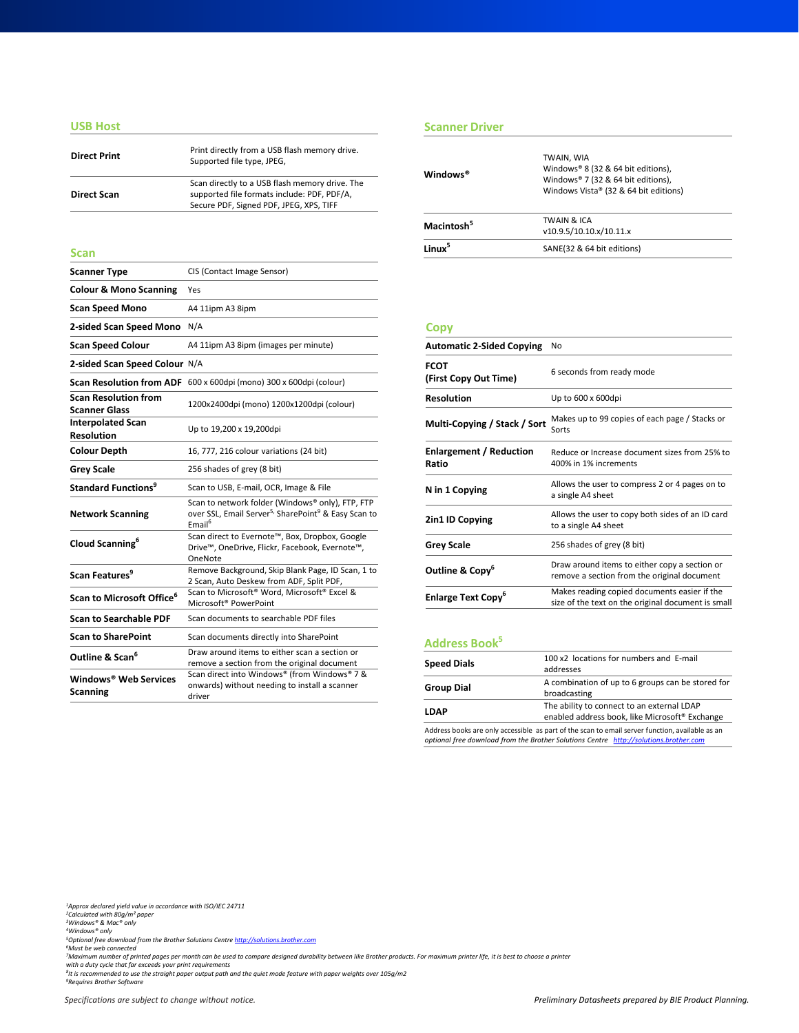#### **USB Host**

| <b>Direct Print</b> | Print directly from a USB flash memory drive.<br>Supported file type, JPEG,                                                              |
|---------------------|------------------------------------------------------------------------------------------------------------------------------------------|
| <b>Direct Scan</b>  | Scan directly to a USB flash memory drive. The<br>supported file formats include: PDF, PDF/A,<br>Secure PDF, Signed PDF, JPEG, XPS, TIFF |
|                     |                                                                                                                                          |

| <b>Scanner Type</b>                                 | CIS (Contact Image Sensor)                                                                                                                            |
|-----------------------------------------------------|-------------------------------------------------------------------------------------------------------------------------------------------------------|
| <b>Colour &amp; Mono Scanning</b>                   | Yes                                                                                                                                                   |
| <b>Scan Speed Mono</b>                              | A4 11ipm A3 8ipm                                                                                                                                      |
| 2-sided Scan Speed Mono                             | N/A                                                                                                                                                   |
| <b>Scan Speed Colour</b>                            | A4 11ipm A3 8ipm (images per minute)                                                                                                                  |
| 2-sided Scan Speed Colour N/A                       |                                                                                                                                                       |
|                                                     | <b>Scan Resolution from ADF</b> 600 x 600dpi (mono) 300 x 600dpi (colour)                                                                             |
| <b>Scan Resolution from</b><br><b>Scanner Glass</b> | 1200x2400dpi (mono) 1200x1200dpi (colour)                                                                                                             |
| <b>Interpolated Scan</b><br><b>Resolution</b>       | Up to 19,200 x 19,200dpi                                                                                                                              |
| <b>Colour Depth</b>                                 | 16, 777, 216 colour variations (24 bit)                                                                                                               |
| <b>Grey Scale</b>                                   | 256 shades of grey (8 bit)                                                                                                                            |
| Standard Functions <sup>9</sup>                     | Scan to USB, E-mail, OCR, Image & File                                                                                                                |
| <b>Network Scanning</b>                             | Scan to network folder (Windows® only), FTP, FTP<br>over SSL, Email Server <sup>5,</sup> SharePoint <sup>9</sup> & Easy Scan to<br>Email <sup>6</sup> |
| Cloud Scanning <sup>6</sup>                         | Scan direct to Evernote™, Box, Dropbox, Google<br>Drive™, OneDrive, Flickr, Facebook, Evernote™,<br>OneNote                                           |
| Scan Features <sup>9</sup>                          | Remove Background, Skip Blank Page, ID Scan, 1 to<br>2 Scan, Auto Deskew from ADF, Split PDF,                                                         |
| Scan to Microsoft Office <sup>6</sup>               | Scan to Microsoft <sup>®</sup> Word, Microsoft <sup>®</sup> Excel &<br>Microsoft <sup>®</sup> PowerPoint                                              |
| <b>Scan to Searchable PDF</b>                       | Scan documents to searchable PDF files                                                                                                                |
| <b>Scan to SharePoint</b>                           | Scan documents directly into SharePoint                                                                                                               |
| Outline & Scan <sup>6</sup>                         | Draw around items to either scan a section or<br>remove a section from the original document                                                          |
| Windows® Web Services<br><b>Scanning</b>            | Scan direct into Windows® (from Windows® 7 &<br>onwards) without needing to install a scanner<br>driver                                               |

#### **Scanner Driver**

| <b>Direct Print</b> | Print directly from a USB flash memory drive.<br>Supported file type, JPEG,                                                              | Windows <sup>®</sup>   | TWAIN, WIA<br>Windows® 8 (32 & 64 bit editions),                            |
|---------------------|------------------------------------------------------------------------------------------------------------------------------------------|------------------------|-----------------------------------------------------------------------------|
| <b>Direct Scan</b>  | Scan directly to a USB flash memory drive. The<br>supported file formats include: PDF, PDF/A,<br>Secure PDF, Signed PDF, JPEG, XPS, TIFF |                        | Windows® 7 (32 & 64 bit editions),<br>Windows Vista® (32 & 64 bit editions) |
|                     |                                                                                                                                          | Macintosh <sup>5</sup> | <b>TWAIN &amp; ICA</b><br>v10.9.5/10.10.x/10.11.x                           |
| Scan                |                                                                                                                                          | Linux <sup>5</sup>     | SANE(32 & 64 bit editions)                                                  |
|                     |                                                                                                                                          |                        |                                                                             |

#### **Copy**

| <b>Automatic 2-Sided Copying</b>        | No                                                                                                 |
|-----------------------------------------|----------------------------------------------------------------------------------------------------|
| <b>FCOT</b><br>(First Copy Out Time)    | 6 seconds from ready mode                                                                          |
| <b>Resolution</b>                       | Up to 600 x 600dpi                                                                                 |
| Multi-Copying / Stack / Sort            | Makes up to 99 copies of each page / Stacks or<br>Sorts                                            |
| <b>Enlargement / Reduction</b><br>Ratio | Reduce or Increase document sizes from 25% to<br>400% in 1% increments                             |
| N in 1 Copying                          | Allows the user to compress 2 or 4 pages on to<br>a single A4 sheet                                |
| 2in1 ID Copying                         | Allows the user to copy both sides of an ID card<br>to a single A4 sheet                           |
| <b>Grey Scale</b>                       | 256 shades of grey (8 bit)                                                                         |
| Outline & Copy <sup>6</sup>             | Draw around items to either copy a section or<br>remove a section from the original document       |
| <b>Enlarge Text Copy</b> <sup>6</sup>   | Makes reading copied documents easier if the<br>size of the text on the original document is small |

### **Address Book5**

| <b>Speed Dials</b>                                                                                                                                                                       | 100 x2 locations for numbers and E-mail<br>addresses              |
|------------------------------------------------------------------------------------------------------------------------------------------------------------------------------------------|-------------------------------------------------------------------|
| <b>Group Dial</b>                                                                                                                                                                        | A combination of up to 6 groups can be stored for<br>broadcasting |
| The ability to connect to an external LDAP<br><b>LDAP</b><br>enabled address book, like Microsoft <sup>®</sup> Exchange                                                                  |                                                                   |
| Address books are only accessible as part of the scan to email server function, available as an<br>optional free download from the Brother Solutions Centre http://solutions.brother.com |                                                                   |

*1Approx declared yield value in accordance with ISO/IEC 24711 2Calculated with 80g/m² paper 3Windows® & Mac® only*

<sup>4</sup>Windows® only<br><sup>5</sup>Optional free download from the Brother Solutions Centre <u>[http://solutions.brother.com](http://solutions.brother.com/)</u><br><sup>5</sup>Must be web connected<br><sup>7</sup>Maximum number of printed pages per month can be used to compare designed durability b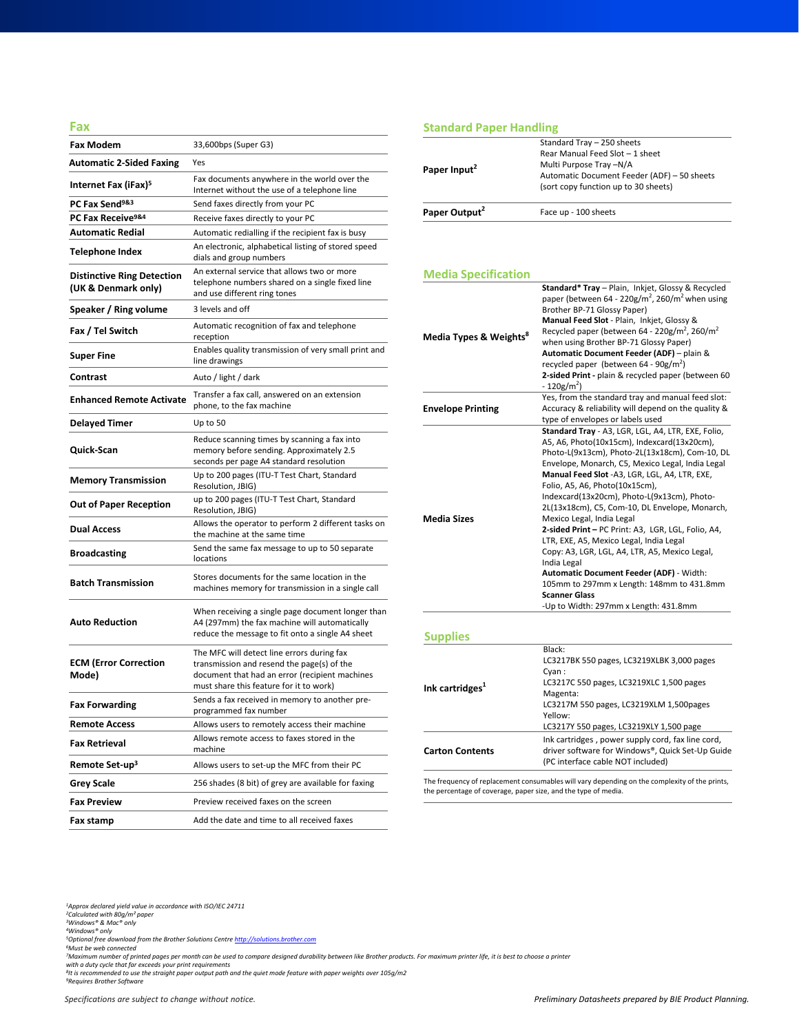#### **Fax**

| <b>Fax Modem</b>                                         | 33,600bps (Super G3)                                                                                                                                                                  |
|----------------------------------------------------------|---------------------------------------------------------------------------------------------------------------------------------------------------------------------------------------|
| <b>Automatic 2-Sided Faxing</b>                          | Yes                                                                                                                                                                                   |
| Internet Fax (iFax) <sup>5</sup>                         | Fax documents anywhere in the world over the<br>Internet without the use of a telephone line                                                                                          |
| PC Fax Send <sup>9&amp;3</sup>                           | Send faxes directly from your PC                                                                                                                                                      |
| PC Fax Receive <sup>9&amp;4</sup>                        | Receive faxes directly to your PC                                                                                                                                                     |
| <b>Automatic Redial</b>                                  | Automatic redialling if the recipient fax is busy                                                                                                                                     |
| Telephone Index                                          | An electronic, alphabetical listing of stored speed<br>dials and group numbers                                                                                                        |
| <b>Distinctive Ring Detection</b><br>(UK & Denmark only) | An external service that allows two or more<br>telephone numbers shared on a single fixed line<br>and use different ring tones                                                        |
| Speaker / Ring volume                                    | 3 levels and off                                                                                                                                                                      |
| Fax / Tel Switch                                         | Automatic recognition of fax and telephone<br>reception                                                                                                                               |
| Super Fine                                               | Enables quality transmission of very small print and<br>line drawings                                                                                                                 |
| Contrast                                                 | Auto / light / dark                                                                                                                                                                   |
| <b>Enhanced Remote Activate</b>                          | Transfer a fax call, answered on an extension<br>phone, to the fax machine                                                                                                            |
| <b>Delayed Timer</b>                                     | Up to 50                                                                                                                                                                              |
| Quick-Scan                                               | Reduce scanning times by scanning a fax into<br>memory before sending. Approximately 2.5<br>seconds per page A4 standard resolution                                                   |
| <b>Memory Transmission</b>                               | Up to 200 pages (ITU-T Test Chart, Standard<br>Resolution, JBIG)                                                                                                                      |
| <b>Out of Paper Reception</b>                            | up to 200 pages (ITU-T Test Chart, Standard<br>Resolution, JBIG)                                                                                                                      |
| <b>Dual Access</b>                                       | Allows the operator to perform 2 different tasks on<br>the machine at the same time                                                                                                   |
| <b>Broadcasting</b>                                      | Send the same fax message to up to 50 separate<br>locations                                                                                                                           |
| <b>Batch Transmission</b>                                | Stores documents for the same location in the<br>machines memory for transmission in a single call                                                                                    |
| <b>Auto Reduction</b>                                    | When receiving a single page document longer than<br>A4 (297mm) the fax machine will automatically<br>reduce the message to fit onto a single A4 sheet                                |
| <b>ECM (Error Correction</b><br>Mode)                    | The MFC will detect line errors during fax<br>transmission and resend the page(s) of the<br>document that had an error (recipient machines<br>must share this feature for it to work) |
| <b>Fax Forwarding</b>                                    | Sends a fax received in memory to another pre-<br>programmed fax number                                                                                                               |
| <b>Remote Access</b>                                     | Allows users to remotely access their machine                                                                                                                                         |
| Fax Retrieval                                            | Allows remote access to faxes stored in the<br>machine                                                                                                                                |
| Remote Set-up <sup>3</sup>                               | Allows users to set-up the MFC from their PC                                                                                                                                          |
| <b>Grey Scale</b>                                        | 256 shades (8 bit) of grey are available for faxing                                                                                                                                   |
| <b>Fax Preview</b>                                       | Preview received faxes on the screen                                                                                                                                                  |
| Fax stamp                                                | Add the date and time to all received faxes                                                                                                                                           |

### **Standard Paper Handling**

| Paper Input <sup>2</sup>  | Standard Tray - 250 sheets<br>Rear Manual Feed Slot - 1 sheet<br>Multi Purpose Tray-N/A |
|---------------------------|-----------------------------------------------------------------------------------------|
|                           | Automatic Document Feeder (ADF) - 50 sheets<br>(sort copy function up to 30 sheets)     |
| Paper Output <sup>2</sup> | Face up - 100 sheets                                                                    |

#### **Media Specification**

| Media Types & Weights <sup>8</sup> | Standard* Tray - Plain, Inkjet, Glossy & Recycled<br>paper (between 64 - 220g/m <sup>2</sup> , 260/m <sup>2</sup> when using<br>Brother BP-71 Glossy Paper) |
|------------------------------------|-------------------------------------------------------------------------------------------------------------------------------------------------------------|
|                                    | Manual Feed Slot - Plain, Inkiet, Glossy &                                                                                                                  |
|                                    | Recycled paper (between 64 - 220g/m <sup>2</sup> , 260/m <sup>2</sup>                                                                                       |
|                                    | when using Brother BP-71 Glossy Paper)                                                                                                                      |
|                                    | Automatic Document Feeder (ADF) - plain &                                                                                                                   |
|                                    | recycled paper (between $64 - 90g/m^2$ )                                                                                                                    |
|                                    | 2-sided Print - plain & recycled paper (between 60<br>$-120$ g/m <sup>2</sup> )                                                                             |
|                                    | Yes, from the standard tray and manual feed slot:                                                                                                           |
| <b>Envelope Printing</b>           | Accuracy & reliability will depend on the quality &<br>type of envelopes or labels used                                                                     |
|                                    | Standard Tray - A3, LGR, LGL, A4, LTR, EXE, Folio,                                                                                                          |
|                                    | A5, A6, Photo(10x15cm), Indexcard(13x20cm),                                                                                                                 |
|                                    | Photo-L(9x13cm), Photo-2L(13x18cm), Com-10, DL                                                                                                              |
|                                    | Envelope, Monarch, C5, Mexico Legal, India Legal                                                                                                            |
|                                    | Manual Feed Slot -A3, LGR, LGL, A4, LTR, EXE,                                                                                                               |
|                                    | Folio, A5, A6, Photo(10x15cm),                                                                                                                              |
|                                    | Indexcard(13x20cm), Photo-L(9x13cm), Photo-                                                                                                                 |
|                                    | 2L(13x18cm), C5, Com-10, DL Envelope, Monarch,                                                                                                              |
| <b>Media Sizes</b>                 | Mexico Legal, India Legal                                                                                                                                   |
|                                    | 2-sided Print - PC Print: A3, LGR, LGL, Folio, A4,                                                                                                          |
|                                    | LTR, EXE, A5, Mexico Legal, India Legal                                                                                                                     |
|                                    | Copy: A3, LGR, LGL, A4, LTR, A5, Mexico Legal,                                                                                                              |
|                                    | India Legal                                                                                                                                                 |
|                                    | Automatic Document Feeder (ADF) - Width:<br>105mm to 297mm x Length: 148mm to 431.8mm                                                                       |
|                                    | <b>Scanner Glass</b>                                                                                                                                        |
|                                    | -Up to Width: 297mm x Length: 431.8mm                                                                                                                       |
|                                    |                                                                                                                                                             |
| <b>Supplies</b>                    |                                                                                                                                                             |
|                                    | Black:                                                                                                                                                      |
|                                    | LC3217RK 550 pages LC321QVLRK 3,000 pages                                                                                                                   |

#### **Ink** cartridges<sup>1</sup> LC3217BK 550 pages, LC3219XLBK 3,000 pages Cyan : LC3217C 550 pages, LC3219XLC 1,500 pages Magenta: LC3217M 550 pages, LC3219XLM 1,500pages Yellow: LC3217Y 550 pages, LC3219XLY 1,500 page **Carton Contents** Ink cartridges , power supply cord, fax line cord, driver software for Windows®, Quick Set-Up Guide (PC interface cable NOT included)

The frequency of replacement consumables will vary depending on the complexity of the prints, the percentage of coverage, paper size, and the type of media.

*1Approx declared yield value in accordance with ISO/IEC 24711 2Calculated with 80g/m² paper 3Windows® & Mac® only 4Windows® only*

*5Optional free download from the Brother Solutions Centre [http://solutions.brother.com](http://solutions.brother.com/)*

*6Must be web connected*

<sup>7</sup>Maximum number of printed pages per month can be used to compare designed durability between like Brother products. For maximum printer life, it is best to choose a printer<br>with a duty cycle that far exceeds your print